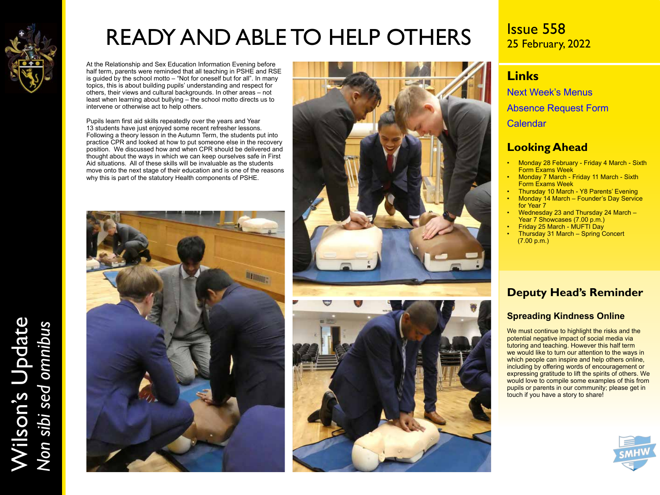

Wilson's Update

Wilson's Update<br>Non sibi sed omnibus

*Non sibi sed omnibus*

# READY AND ABLE TO HELP OTHERS

At the Relationship and Sex Education Information Evening before half term, parents were reminded that all teaching in PSHE and RSE is guided by the school motto – "Not for oneself but for all". In many topics, this is about building pupils' understanding and respect for others, their views and cultural backgrounds. In other areas – not least when learning about bullying – the school motto directs us to intervene or otherwise act to help others.

Pupils learn first aid skills repeatedly over the years and Year 13 students have just enjoyed some recent refresher lessons. Following a theory lesson in the Autumn Term, the students put into practice CPR and looked at how to put someone else in the recovery position. We discussed how and when CPR should be delivered and thought about the ways in which we can keep ourselves safe in First Aid situations. All of these skills will be invaluable as the students move onto the next stage of their education and is one of the reasons why this is part of the statutory Health components of PSHE.





Issue 558 25 February, 2022

## **Links**

[Next Week's Menus](https://www.wilsons.school/resources/Menus.pdf) [Absence Request Form](http://www.wilsons.school/resources/Leave-of-Absence-Form.pdf) [Calendar](https://www.wilsons.school/calendar/)

### **Looking Ahead**

- Monday 28 February Friday 4 March Sixth Form Exams Week
- Monday 7 March Friday 11 March Sixth Form Exams Week
- Thursday 10 March Y8 Parents' Evening • Monday 14 March – Founder's Day Service
- for Year 7 • Wednesday 23 and Thursday 24 March – Year 7 Showcases (7.00 p.m.)
- Friday 25 March MUFTI Day
- Thursday 31 March Spring Concert (7.00 p.m.)

## **Deputy Head's Reminder**

#### **Spreading Kindness Online**

We must continue to highlight the risks and the potential negative impact of social media via tutoring and teaching. However this half term we would like to turn our attention to the ways in which people can inspire and help others online, including by offering words of encouragement or expressing gratitude to lift the spirits of others. We would love to compile some examples of this from pupils or parents in our community; please get in touch if you have a story to share!